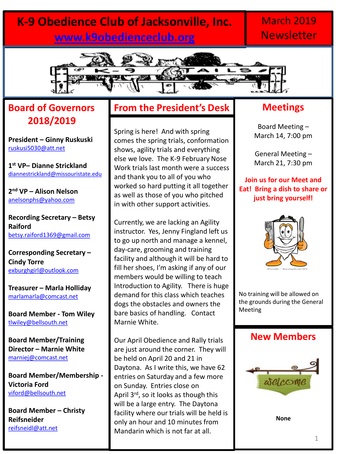# **K-9 Obedience Club of Jacksonville, Inc. [www.k9obedienceclub.org](http://www.k9obedienceclub.org/)**

## March 2019 **Newsletter**



### **Board of Governors 2018/2019**

**President – Ginny Ruskuski** [ruskusi5030@att.net](mailto:ruskusi5030@att.net)

**1 st VP– Dianne Strickland** [diannestrickland@missouristate.edu](mailto:diannestrickland@missouristate.edu)

**2 nd VP – Alison Nelson** [anelsonphs@yahoo.com](mailto:anelsonphs@yahoo.com)

**Recording Secretary – Betsy Raiford** [betsy.raiford1369@gmail.com](mailto:betsy.raiford1369@gmail.com)

**Corresponding Secretary – Cindy Torre** [exburghgirl@outlook.com](mailto:exburghgirl@outlook.com)

**Treasurer – Marla Holliday** [marlamarla@comcast.net](mailto:marlamarla@comcast.net)

**Board Member - Tom Wiley** [tlwiley@bellsouth.net](mailto:tlwiley@bellsouth.net)

**Board Member/Training Director – Marnie White**  [marniej@comcast.net](mailto:marniej@comcast.net)

**Board Member/Membership - Victoria Ford** [viford@bellsouth.net](mailto:viford@bellsouth.net)

**Board Member – Christy Reifsneider** [reifsneidl@att.net](mailto:reifsneidl@att.net)

### **From the President's Desk**

Spring is here! And with spring comes the spring trials, conformation shows, agility trials and everything else we love. The K-9 February Nose Work trials last month were a success and thank you to all of you who worked so hard putting it all together as well as those of you who pitched in with other support activities.

Currently, we are lacking an Agility instructor. Yes, Jenny Fingland left us to go up north and manage a kennel, day-care, grooming and training facility and although it will be hard to fill her shoes, I'm asking if any of our members would be willing to teach Introduction to Agility. There is huge demand for this class which teaches dogs the obstacles and owners the bare basics of handling. Contact Marnie White.

Our April Obedience and Rally trials are just around the corner. They will be held on April 20 and 21 in Daytona. As I write this, we have 62 entries on Saturday and a few more on Sunday. Entries close on April 3<sup>rd</sup>, so it looks as though this will be a large entry. The Daytona facility where our trials will be held is only an hour and 10 minutes from Mandarin which is not far at all.

#### **Meetings**

Board Meeting – March 14, 7:00 pm

General Meeting – March 21, 7:30 pm

**Join us for our Meet and Eat! Bring a dish to share or just bring yourself!**



No training will be allowed on the grounds during the General Meeting

#### **New Members**



**None**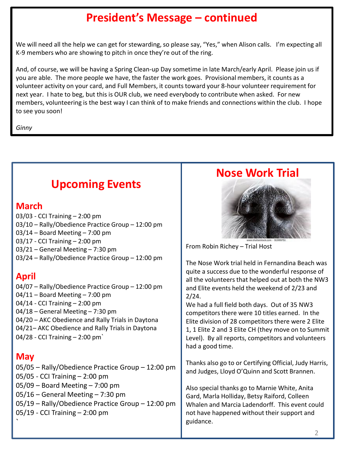## **President's Message – continued**

We will need all the help we can get for stewarding, so please say, "Yes," when Alison calls. I'm expecting all K-9 members who are showing to pitch in once they're out of the ring.

And, of course, we will be having a Spring Clean-up Day sometime in late March/early April. Please join us if you are able. The more people we have, the faster the work goes. Provisional members, it counts as a volunteer activity on your card, and Full Members, it counts toward your 8-hour volunteer requirement for next year. I hate to beg, but this is OUR club, we need everybody to contribute when asked. For new members, volunteering is the best way I can think of to make friends and connections within the club. I hope to see you soon!

*Ginny*

## **Upcoming Events**

#### **March**

03/03 - CCI Training – 2:00 pm 03/10 – Rally/Obedience Practice Group – 12:00 pm 03/14 – Board Meeting – 7:00 pm 03/17 - CCI Training – 2:00 pm 03/21 – General Meeting – 7:30 pm 03/24 – Rally/Obedience Practice Group – 12:00 pm

### **April**

04/07 – Rally/Obedience Practice Group – 12:00 pm 04/11 – Board Meeting – 7:00 pm 04/14 - CCI Training – 2:00 pm 04/18 – General Meeting – 7:30 pm 04/20 – AKC Obedience and Rally Trials in Daytona 04/21– AKC Obedience and Rally Trials in Daytona 04/28 - CCI Training – 2:00 pm`

### **May**

05/05 – Rally/Obedience Practice Group – 12:00 pm 05/05 - CCI Training – 2:00 pm 05/09 – Board Meeting – 7:00 pm 05/16 – General Meeting – 7:30 pm 05/19 – Rally/Obedience Practice Group – 12:00 pm 05/19 - CCI Training – 2:00 pm `

### **Nose Work Trial**



From Robin Richey – Trial Host

The Nose Work trial held in Fernandina Beach was quite a success due to the wonderful response of all the volunteers that helped out at both the NW3 and Elite events held the weekend of 2/23 and 2/24.

We had a full field both days. Out of 35 NW3 competitors there were 10 titles earned. In the Elite division of 28 competitors there were 2 Elite 1, 1 Elite 2 and 3 Elite CH (they move on to Summit Level). By all reports, competitors and volunteers had a good time.

Thanks also go to or Certifying Official, Judy Harris, and Judges, Lloyd O'Quinn and Scott Brannen.

Also special thanks go to Marnie White, Anita Gard, Marla Holliday, Betsy Raiford, Colleen Whalen and Marcia Ladendorff. This event could not have happened without their support and guidance.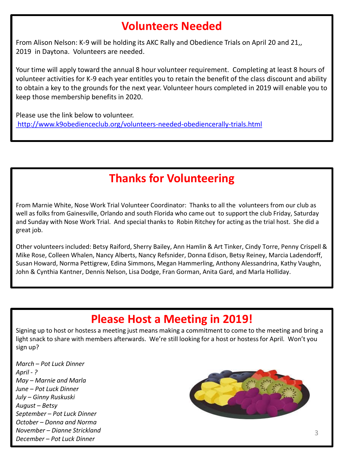### **Volunteers Needed**

From Alison Nelson: K-9 will be holding its AKC Rally and Obedience Trials on April 20 and 21,, 2019 in Daytona. Volunteers are needed.

Your time will apply toward the annual 8 hour volunteer requirement. Completing at least 8 hours of volunteer activities for K-9 each year entitles you to retain the benefit of the class discount and ability to obtain a key to the grounds for the next year. Volunteer hours completed in 2019 will enable you to keep those membership benefits in 2020.

[P](http://www.k9obedienceclub.org/volunteers-needed-obediencerally-trials.html)lease use the link below to volunteer. <http://www.k9obedienceclub.org/volunteers-needed-obediencerally-trials.html>

# **Thanks for Volunteering**

From Marnie White, Nose Work Trial Volunteer Coordinator: Thanks to all the volunteers from our club as well as folks from Gainesville, Orlando and south Florida who came out to support the club Friday, Saturday and Sunday with Nose Work Trial. And special thanks to Robin Ritchey for acting as the trial host. She did a great job.

Other volunteers included: Betsy Raiford, Sherry Bailey, Ann Hamlin & Art Tinker, Cindy Torre, Penny Crispell & Mike Rose, Colleen Whalen, Nancy Alberts, Nancy Refsnider, Donna Edison, Betsy Reiney, Marcia Ladendorff, Susan Howard, Norma Pettigrew, Edina Simmons, Megan Hammerling, Anthony Alessandrina, Kathy Vaughn, John & Cynthia Kantner, Dennis Nelson, Lisa Dodge, Fran Gorman, Anita Gard, and Marla Holliday.

## **Please Host a Meeting in 2019!**

Signing up to host or hostess a meeting just means making a commitment to come to the meeting and bring a light snack to share with members afterwards. We're still looking for a host or hostess for April. Won't you sign up?

*March – Pot Luck Dinner April - ? May – Marnie and Marla June – Pot Luck Dinner July – Ginny Ruskuski August – Betsy September – Pot Luck Dinner October – Donna and Norma November – Dianne Strickland December – Pot Luck Dinner*

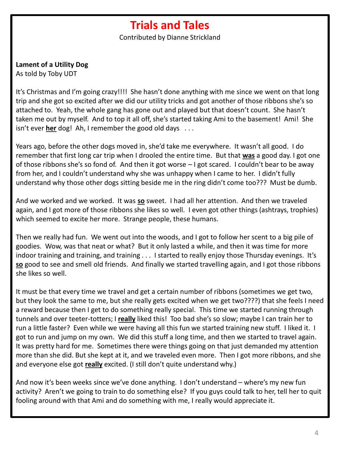### **Trials and Tales**

Contributed by Dianne Strickland

**Lament of a Utility Dog**

As told by Toby UDT

It's Christmas and I'm going crazy!!!! She hasn't done anything with me since we went on that long trip and she got so excited after we did our utility tricks and got another of those ribbons she's so attached to. Yeah, the whole gang has gone out and played but that doesn't count. She hasn't taken me out by myself. And to top it all off, she's started taking Ami to the basement! Ami! She isn't ever **her** dog! Ah, I remember the good old days . . .

Years ago, before the other dogs moved in, she'd take me everywhere. It wasn't all good. I do remember that first long car trip when I drooled the entire time. But that **was** a good day. I got one of those ribbons she's so fond of. And then it got worse – I got scared. I couldn't bear to be away from her, and I couldn't understand why she was unhappy when I came to her. I didn't fully understand why those other dogs sitting beside me in the ring didn't come too??? Must be dumb.

And we worked and we worked. It was **so** sweet. I had all her attention. And then we traveled again, and I got more of those ribbons she likes so well. I even got other things (ashtrays, trophies) which seemed to excite her more. Strange people, these humans.

Then we really had fun. We went out into the woods, and I got to follow her scent to a big pile of goodies. Wow, was that neat or what? But it only lasted a while, and then it was time for more indoor training and training, and training . . . I started to really enjoy those Thursday evenings. It's **so** good to see and smell old friends. And finally we started travelling again, and I got those ribbons she likes so well.

It must be that every time we travel and get a certain number of ribbons (sometimes we get two, but they look the same to me, but she really gets excited when we get two????) that she feels I need a reward because then I get to do something really special. This time we started running through tunnels and over teeter-totters; I **really** liked this! Too bad she's so slow; maybe I can train her to run a little faster? Even while we were having all this fun we started training new stuff. I liked it. I got to run and jump on my own. We did this stuff a long time, and then we started to travel again. It was pretty hard for me. Sometimes there were things going on that just demanded my attention more than she did. But she kept at it, and we traveled even more. Then I got more ribbons, and she and everyone else got **really** excited. (I still don't quite understand why.)

And now it's been weeks since we've done anything. I don't understand – where's my new fun activity? Aren't we going to train to do something else? If you guys could talk to her, tell her to quit fooling around with that Ami and do something with me, I really would appreciate it.